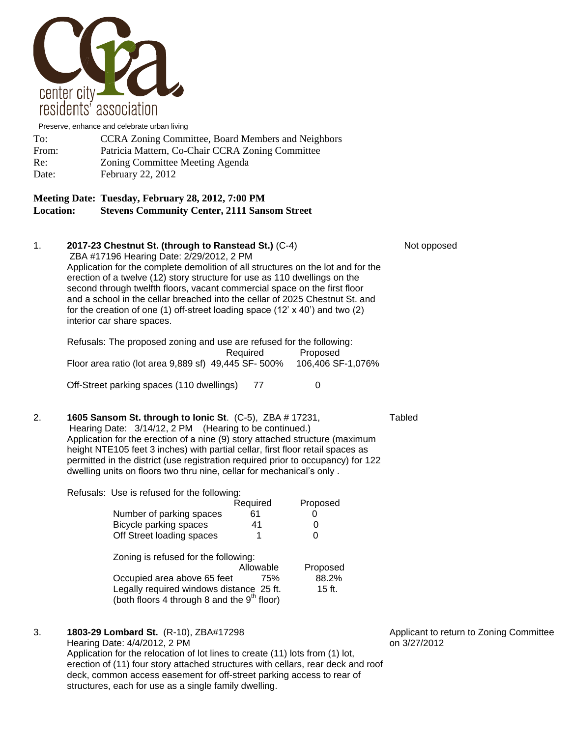

Preserve, enhance and celebrate urban living

| To:   | <b>CCRA Zoning Committee, Board Members and Neighbors</b> |
|-------|-----------------------------------------------------------|
| From: | Patricia Mattern, Co-Chair CCRA Zoning Committee          |
| Re:   | Zoning Committee Meeting Agenda                           |
| Date: | <b>February 22, 2012</b>                                  |

## **Meeting Date: Tuesday, February 28, 2012, 7:00 PM Location: Stevens Community Center, 2111 Sansom Street**

1. **2017-23 Chestnut St. (through to Ranstead St.)** (C-4) Not opposed ZBA #17196 Hearing Date: 2/29/2012, 2 PM Application for the complete demolition of all structures on the lot and for the erection of a twelve (12) story structure for use as 110 dwellings on the second through twelfth floors, vacant commercial space on the first floor and a school in the cellar breached into the cellar of 2025 Chestnut St. and for the creation of one (1) off-street loading space (12' x 40') and two (2) interior car share spaces. Refusals: The proposed zoning and use are refused for the following: Required Proposed Floor area ratio (lot area 9,889 sf) 49,445 SF- 500% 106,406 SF-1,076% Off-Street parking spaces (110 dwellings) 77 0 2. **1605 Sansom St. through to Ionic St**. (C-5), ZBA # 17231, Tabled Hearing Date: 3/14/12, 2 PM (Hearing to be continued.) Application for the erection of a nine (9) story attached structure (maximum height NTE105 feet 3 inches) with partial cellar, first floor retail spaces as permitted in the district (use registration required prior to occupancy) for 122 dwelling units on floors two thru nine, cellar for mechanical's only . Refusals: Use is refused for the following: Required Proposed Number of parking spaces 61 0 Bicycle parking spaces 41 0 Off Street loading spaces 1 0

| Zoning is refused for the following:                    |           |          |
|---------------------------------------------------------|-----------|----------|
|                                                         | Allowable | Proposed |
| Occupied area above 65 feet                             | 75%       | 88.2%    |
| Legally required windows distance 25 ft.                |           | $15$ ft. |
| (both floors 4 through 8 and the 9 <sup>th</sup> floor) |           |          |

3. **1803-29 Lombard St.** (R-10), ZBA#17298 **Applicant to return to Zoning Committee** 

Hearing Date: 4/4/2012, 2 PM **but a strategies and the strategies of 3/27/2012** Application for the relocation of lot lines to create (11) lots from (1) lot, erection of (11) four story attached structures with cellars, rear deck and roof deck, common access easement for off-street parking access to rear of structures, each for use as a single family dwelling.